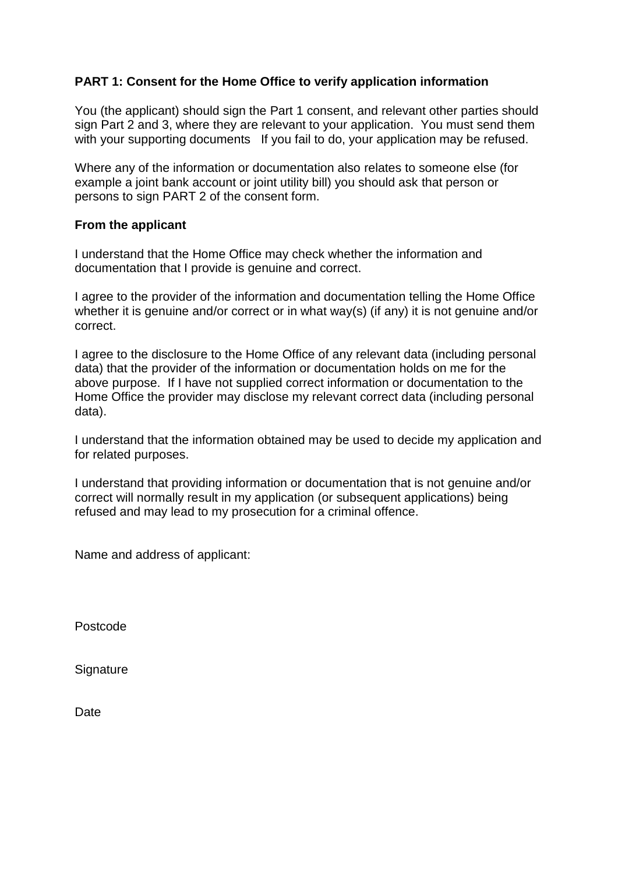## **PART 1: Consent for the Home Office to verify application information**

You (the applicant) should sign the Part 1 consent, and relevant other parties should sign Part 2 and 3, where they are relevant to your application. You must send them with your supporting documents If you fail to do, your application may be refused.

Where any of the information or documentation also relates to someone else (for example a joint bank account or joint utility bill) you should ask that person or persons to sign PART 2 of the consent form.

## **From the applicant**

I understand that the Home Office may check whether the information and documentation that I provide is genuine and correct.

I agree to the provider of the information and documentation telling the Home Office whether it is genuine and/or correct or in what way(s) (if any) it is not genuine and/or correct.

I agree to the disclosure to the Home Office of any relevant data (including personal data) that the provider of the information or documentation holds on me for the above purpose. If I have not supplied correct information or documentation to the Home Office the provider may disclose my relevant correct data (including personal data).

I understand that the information obtained may be used to decide my application and for related purposes.

I understand that providing information or documentation that is not genuine and/or correct will normally result in my application (or subsequent applications) being refused and may lead to my prosecution for a criminal offence.

Name and address of applicant:

Postcode

**Signature** 

**Date**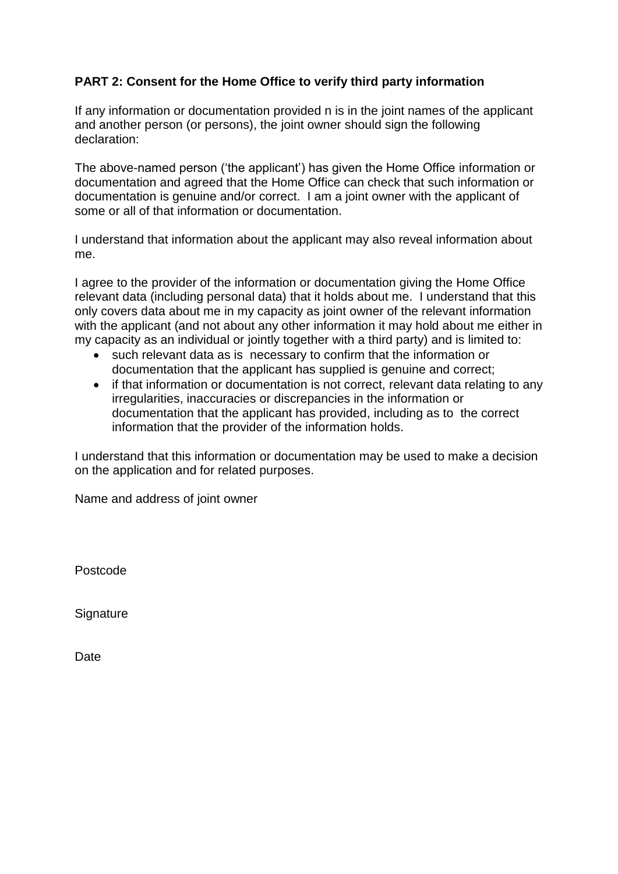## **PART 2: Consent for the Home Office to verify third party information**

If any information or documentation provided n is in the joint names of the applicant and another person (or persons), the joint owner should sign the following declaration:

The above-named person ('the applicant') has given the Home Office information or documentation and agreed that the Home Office can check that such information or documentation is genuine and/or correct. I am a joint owner with the applicant of some or all of that information or documentation.

I understand that information about the applicant may also reveal information about me.

I agree to the provider of the information or documentation giving the Home Office relevant data (including personal data) that it holds about me. I understand that this only covers data about me in my capacity as joint owner of the relevant information with the applicant (and not about any other information it may hold about me either in my capacity as an individual or jointly together with a third party) and is limited to:

- such relevant data as is necessary to confirm that the information or documentation that the applicant has supplied is genuine and correct;
- if that information or documentation is not correct, relevant data relating to any irregularities, inaccuracies or discrepancies in the information or documentation that the applicant has provided, including as to the correct information that the provider of the information holds.

I understand that this information or documentation may be used to make a decision on the application and for related purposes.

Name and address of joint owner

Postcode

**Signature** 

**Date**